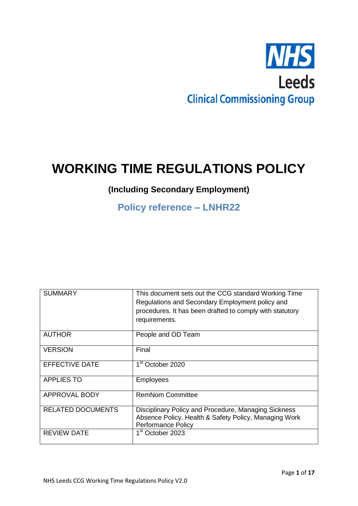

# **WORKING TIME REGULATIONS POLICY**

# **(Including Secondary Employment)**

# **Policy reference – LNHR22**

| <b>SUMMARY</b>           | This document sets out the CCG standard Working Time<br>Regulations and Secondary Employment policy and<br>procedures. It has been drafted to comply with statutory<br>requirements. |
|--------------------------|--------------------------------------------------------------------------------------------------------------------------------------------------------------------------------------|
| <b>AUTHOR</b>            | People and OD Team                                                                                                                                                                   |
| <b>VERSION</b>           | Final                                                                                                                                                                                |
| <b>EFFECTIVE DATE</b>    | 1 <sup>st</sup> October 2020                                                                                                                                                         |
| <b>APPLIES TO</b>        | <b>Employees</b>                                                                                                                                                                     |
| <b>APPROVAL BODY</b>     | <b>RemNom Committee</b>                                                                                                                                                              |
| <b>RELATED DOCUMENTS</b> | Disciplinary Policy and Procedure, Managing Sickness<br>Absence Policy. Health & Safety Policy, Managing Work<br><b>Performance Policy</b>                                           |
| <b>REVIEW DATE</b>       | 1 <sup>st</sup> October 2023                                                                                                                                                         |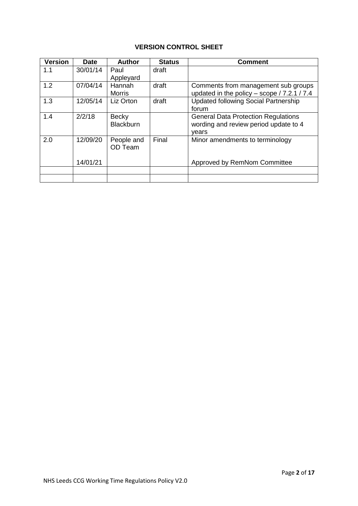# **VERSION CONTROL SHEET**

| <b>Version</b> | <b>Date</b> | <b>Author</b>                    | <b>Status</b> | <b>Comment</b>                                                                               |
|----------------|-------------|----------------------------------|---------------|----------------------------------------------------------------------------------------------|
| 1.1            | 30/01/14    | Paul<br>Appleyard                | draft         |                                                                                              |
| 1.2            | 07/04/14    | Hannah<br><b>Morris</b>          | draft         | Comments from management sub groups<br>updated in the policy - scope / 7.2.1 / 7.4           |
| 1.3            | 12/05/14    | Liz Orton                        | draft         | <b>Updated following Social Partnership</b><br>forum                                         |
| 1.4            | 2/2/18      | <b>Becky</b><br><b>Blackburn</b> |               | <b>General Data Protection Regulations</b><br>wording and review period update to 4<br>vears |
| 2.0            | 12/09/20    | People and<br>OD Team            | Final         | Minor amendments to terminology                                                              |
|                | 14/01/21    |                                  |               | Approved by RemNom Committee                                                                 |
|                |             |                                  |               |                                                                                              |
|                |             |                                  |               |                                                                                              |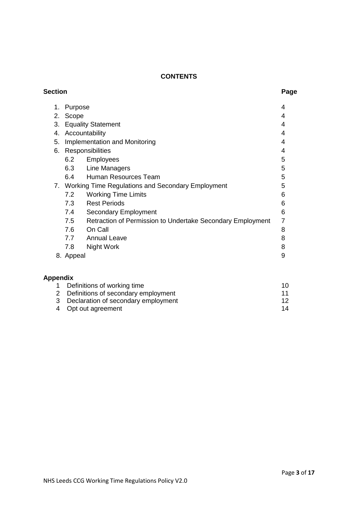# **CONTENTS**

| <b>Section</b>  |           |                                                            | Page     |
|-----------------|-----------|------------------------------------------------------------|----------|
| 1.              | Purpose   |                                                            | 4        |
| 2.              | Scope     |                                                            | 4        |
| 3.              |           | <b>Equality Statement</b>                                  | 4        |
| 4.              |           | Accountability                                             | 4        |
| 5.              |           | Implementation and Monitoring                              | 4        |
| 6.              |           | Responsibilities                                           | 4        |
|                 | 6.2       | Employees                                                  | 5        |
|                 | 6.3       | Line Managers                                              | 5        |
|                 | 6.4       | Human Resources Team                                       | 5        |
|                 |           | 7. Working Time Regulations and Secondary Employment       | 5        |
|                 | 7.2       | <b>Working Time Limits</b>                                 | 6        |
|                 | 7.3       | <b>Rest Periods</b>                                        | 6        |
|                 | 7.4       | <b>Secondary Employment</b>                                | 6        |
|                 | 7.5       | Retraction of Permission to Undertake Secondary Employment | 7        |
|                 | 7.6       | On Call                                                    | 8        |
|                 |           | 7.7 Annual Leave                                           | 8        |
|                 | 7.8       | Night Work                                                 | 8        |
|                 | 8. Appeal |                                                            | 9        |
| <b>Appendix</b> |           |                                                            |          |
| 1               |           | Definitions of working time                                | 10       |
| 2               |           | Definitions of secondary employment                        | 11       |
| 3<br>4          |           | Declaration of secondary employment<br>Opt out agreement   | 12<br>14 |
|                 |           |                                                            |          |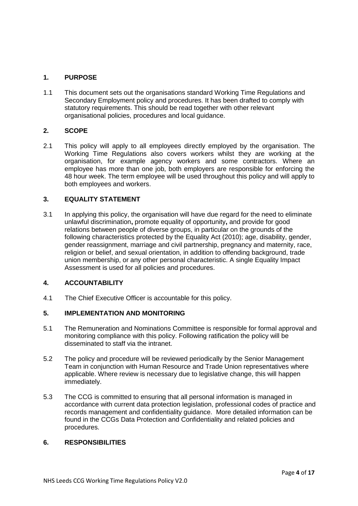# **1. PURPOSE**

1.1 This document sets out the organisations standard Working Time Regulations and Secondary Employment policy and procedures. It has been drafted to comply with statutory requirements. This should be read together with other relevant organisational policies, procedures and local guidance.

# **2. SCOPE**

2.1 This policy will apply to all employees directly employed by the organisation. The Working Time Regulations also covers workers whilst they are working at the organisation, for example agency workers and some contractors. Where an employee has more than one job, both employers are responsible for enforcing the 48 hour week. The term employee will be used throughout this policy and will apply to both employees and workers.

# **3. EQUALITY STATEMENT**

3.1 In applying this policy, the organisation will have due regard for the need to eliminate unlawful discrimination**,** promote equality of opportunity**,** and provide for good relations between people of diverse groups, in particular on the grounds of the following characteristics protected by the Equality Act (2010); age, disability, gender, gender reassignment, marriage and civil partnership, pregnancy and maternity, race, religion or belief, and sexual orientation, in addition to offending background, trade union membership, or any other personal characteristic. A single Equality Impact Assessment is used for all policies and procedures.

# **4. ACCOUNTABILITY**

4.1 The Chief Executive Officer is accountable for this policy.

# **5. IMPLEMENTATION AND MONITORING**

- 5.1 The Remuneration and Nominations Committee is responsible for formal approval and monitoring compliance with this policy. Following ratification the policy will be disseminated to staff via the intranet.
- 5.2 The policy and procedure will be reviewed periodically by the Senior Management Team in conjunction with Human Resource and Trade Union representatives where applicable. Where review is necessary due to legislative change, this will happen immediately.
- 5.3 The CCG is committed to ensuring that all personal information is managed in accordance with current data protection legislation, professional codes of practice and records management and confidentiality guidance. More detailed information can be found in the CCGs Data Protection and Confidentiality and related policies and procedures.

#### **6. RESPONSIBILITIES**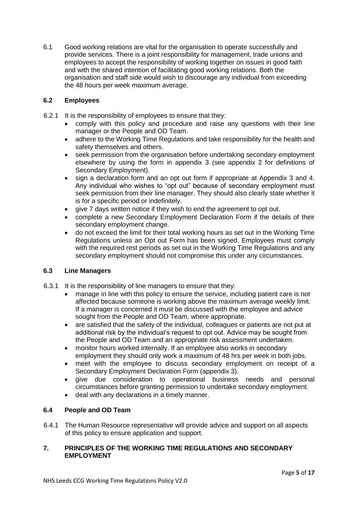6.1 Good working relations are vital for the organisation to operate successfully and provide services. There is a joint responsibility for management, trade unions and employees to accept the responsibility of working together on issues in good faith and with the shared intention of facilitating good working relations. Both the organisation and staff side would wish to discourage any individual from exceeding the 48 hours per week maximum average.

# **6.2 Employees**

- 6.2.1 It is the responsibility of employees to ensure that they:
	- comply with this policy and procedure and raise any questions with their line manager or the People and OD Team.
	- adhere to the Working Time Regulations and take responsibility for the health and safety themselves and others.
	- seek permission from the organisation before undertaking secondary employment elsewhere by using the form in appendix 3 (see appendix 2 for definitions of Secondary Employment).
	- sign a declaration form and an opt out form if appropriate at Appendix 3 and 4. Any individual who wishes to "opt out" because of secondary employment must seek permission from their line manager. They should also clearly state whether it is for a specific period or indefinitely.
	- give 7 days written notice if they wish to end the agreement to opt out.
	- complete a new Secondary Employment Declaration Form if the details of their secondary employment change.
	- do not exceed the limit for their total working hours as set out in the Working Time Regulations unless an Opt out Form has been signed. Employees must comply with the required rest periods as set out in the Working Time Requlations and any secondary employment should not compromise this under any circumstances.

# **6.3 Line Managers**

- 6.3.1 It is the responsibility of line managers to ensure that they:
	- manage in line with this policy to ensure the service, including patient care is not affected because someone is working above the maximum average weekly limit. If a manager is concerned it must be discussed with the employee and advice sought from the People and OD Team, where appropriate.
	- are satisfied that the safety of the individual, colleagues or patients are not put at additional risk by the individual's request to opt out. Advice may be sought from the People and OD Team and an appropriate risk assessment undertaken.
	- monitor hours worked internally. If an employee also works in secondary employment they should only work a maximum of 48 hrs per week in both jobs.
	- meet with the employee to discuss secondary employment on receipt of a Secondary Employment Declaration Form (appendix 3).
	- give due consideration to operational business needs and personal circumstances before granting permission to undertake secondary employment.
	- deal with any declarations in a timely manner.

# **6.4 People and OD Team**

6.4.1 The Human Resource representative will provide advice and support on all aspects of this policy to ensure application and support.

# **7. PRINCIPLES OF THE WORKING TIME REGULATIONS AND SECONDARY EMPLOYMENT**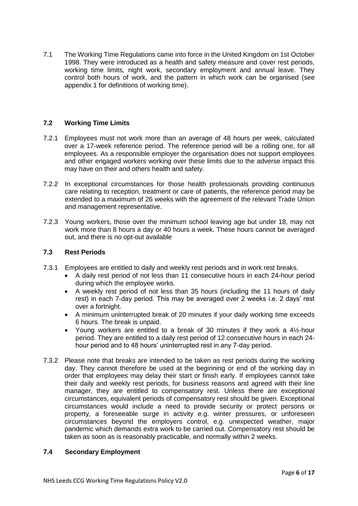7.1 The Working Time Regulations came into force in the United Kingdom on 1st October 1998. They were introduced as a health and safety measure and cover rest periods, working time limits, night work, secondary employment and annual leave. They control both hours of work, and the pattern in which work can be organised (see appendix 1 for definitions of working time).

# **7.2 Working Time Limits**

- 7.2.1 Employees must not work more than an average of 48 hours per week, calculated over a 17-week reference period. The reference period will be a rolling one, for all employees. As a responsible employer the organisation does not support employees and other engaged workers working over these limits due to the adverse impact this may have on their and others health and safety.
- 7.2.2 In exceptional circumstances for those health professionals providing continuous care relating to reception, treatment or care of patients, the reference period may be extended to a maximum of 26 weeks with the agreement of the relevant Trade Union and management representative.
- 7.2.3 Young workers, those over the minimum school leaving age but under 18, may not work more than 8 hours a day or 40 hours a week. These hours cannot be averaged out, and there is no opt-out available

# **7.3 Rest Periods**

- 7.3.1 Employees are entitled to daily and weekly rest periods and in work rest breaks.
	- A daily rest period of not less than 11 consecutive hours in each 24-hour period during which the employee works.
	- A weekly rest period of not less than 35 hours (including the 11 hours of daily rest) in each 7-day period. This may be averaged over 2 weeks i.e. 2 days' rest over a fortnight.
	- A minimum uninterrupted break of 20 minutes if your daily working time exceeds 6 hours. The break is unpaid.
	- Young workers are entitled to a break of 30 minutes if they work a  $4\frac{1}{2}$ -hour period. They are entitled to a daily rest period of 12 consecutive hours in each 24 hour period and to 48 hours' uninterrupted rest in any 7-day period.
- 7.3.2 Please note that breaks are intended to be taken as rest periods during the working day. They cannot therefore be used at the beginning or end of the working day in order that employees may delay their start or finish early. If employees cannot take their daily and weekly rest periods, for business reasons and agreed with their line manager, they are entitled to compensatory rest. Unless there are exceptional circumstances, equivalent periods of compensatory rest should be given. Exceptional circumstances would include a need to provide security or protect persons or property, a foreseeable surge in activity e.g. winter pressures, or unforeseen circumstances beyond the employers control, e.g. unexpected weather, major pandemic which demands extra work to be carried out. Compensatory rest should be taken as soon as is reasonably practicable, and normally within 2 weeks.

#### **7.4 Secondary Employment**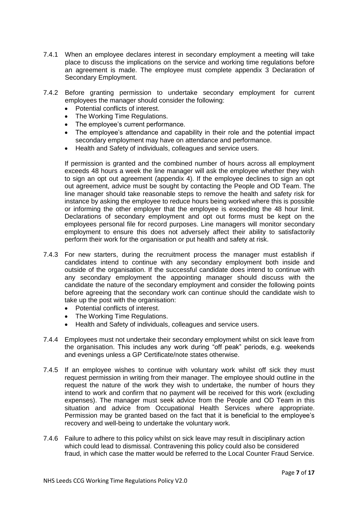- 7.4.1 When an employee declares interest in secondary employment a meeting will take place to discuss the implications on the service and working time regulations before an agreement is made. The employee must complete appendix 3 Declaration of Secondary Employment.
- 7.4.2 Before granting permission to undertake secondary employment for current employees the manager should consider the following:
	- Potential conflicts of interest.
	- The Working Time Regulations.
	- The employee's current performance.
	- The employee's attendance and capability in their role and the potential impact secondary employment may have on attendance and performance.
	- Health and Safety of individuals, colleagues and service users.

If permission is granted and the combined number of hours across all employment exceeds 48 hours a week the line manager will ask the employee whether they wish to sign an opt out agreement (appendix 4). If the employee declines to sign an opt out agreement, advice must be sought by contacting the People and OD Team. The line manager should take reasonable steps to remove the health and safety risk for instance by asking the employee to reduce hours being worked where this is possible or informing the other employer that the employee is exceeding the 48 hour limit. Declarations of secondary employment and opt out forms must be kept on the employees personal file for record purposes. Line managers will monitor secondary employment to ensure this does not adversely affect their ability to satisfactorily perform their work for the organisation or put health and safety at risk.

- 7.4.3 For new starters, during the recruitment process the manager must establish if candidates intend to continue with any secondary employment both inside and outside of the organisation. If the successful candidate does intend to continue with any secondary employment the appointing manager should discuss with the candidate the nature of the secondary employment and consider the following points before agreeing that the secondary work can continue should the candidate wish to take up the post with the organisation:
	- Potential conflicts of interest.
	- The Working Time Regulations.
	- Health and Safety of individuals, colleagues and service users.
- 7.4.4 Employees must not undertake their secondary employment whilst on sick leave from the organisation. This includes any work during "off peak" periods, e.g. weekends and evenings unless a GP Certificate/note states otherwise.
- 7.4.5 If an employee wishes to continue with voluntary work whilst off sick they must request permission in writing from their manager. The employee should outline in the request the nature of the work they wish to undertake, the number of hours they intend to work and confirm that no payment will be received for this work (excluding expenses). The manager must seek advice from the People and OD Team in this situation and advice from Occupational Health Services where appropriate. Permission may be granted based on the fact that it is beneficial to the employee's recovery and well-being to undertake the voluntary work.
- 7.4.6 Failure to adhere to this policy whilst on sick leave may result in disciplinary action which could lead to dismissal. Contravening this policy could also be considered fraud, in which case the matter would be referred to the Local Counter Fraud Service.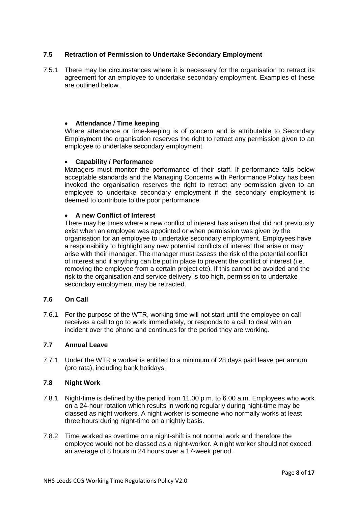# **7.5 Retraction of Permission to Undertake Secondary Employment**

7.5.1 There may be circumstances where it is necessary for the organisation to retract its agreement for an employee to undertake secondary employment. Examples of these are outlined below.

# **Attendance / Time keeping**

Where attendance or time-keeping is of concern and is attributable to Secondary Employment the organisation reserves the right to retract any permission given to an employee to undertake secondary employment.

#### **Capability / Performance**

Managers must monitor the performance of their staff. If performance falls below acceptable standards and the Managing Concerns with Performance Policy has been invoked the organisation reserves the right to retract any permission given to an employee to undertake secondary employment if the secondary employment is deemed to contribute to the poor performance.

#### **A new Conflict of Interest**

There may be times where a new conflict of interest has arisen that did not previously exist when an employee was appointed or when permission was given by the organisation for an employee to undertake secondary employment. Employees have a responsibility to highlight any new potential conflicts of interest that arise or may arise with their manager. The manager must assess the risk of the potential conflict of interest and if anything can be put in place to prevent the conflict of interest (i.e. removing the employee from a certain project etc). If this cannot be avoided and the risk to the organisation and service delivery is too high, permission to undertake secondary employment may be retracted.

# **7.6 On Call**

7.6.1 For the purpose of the WTR, working time will not start until the employee on call receives a call to go to work immediately, or responds to a call to deal with an incident over the phone and continues for the period they are working.

# **7.7 Annual Leave**

7.7.1 Under the WTR a worker is entitled to a minimum of 28 days paid leave per annum (pro rata), including bank holidays.

#### **7.8 Night Work**

- 7.8.1 Night-time is defined by the period from 11.00 p.m. to 6.00 a.m. Employees who work on a 24-hour rotation which results in working regularly during night-time may be classed as night workers. A night worker is someone who normally works at least three hours during night-time on a nightly basis.
- 7.8.2 Time worked as overtime on a night-shift is not normal work and therefore the employee would not be classed as a night-worker. A night worker should not exceed an average of 8 hours in 24 hours over a 17-week period.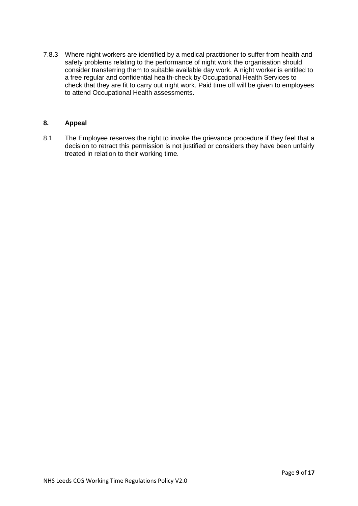7.8.3 Where night workers are identified by a medical practitioner to suffer from health and safety problems relating to the performance of night work the organisation should consider transferring them to suitable available day work. A night worker is entitled to a free regular and confidential health-check by Occupational Health Services to check that they are fit to carry out night work. Paid time off will be given to employees to attend Occupational Health assessments.

# **8. Appeal**

8.1 The Employee reserves the right to invoke the grievance procedure if they feel that a decision to retract this permission is not justified or considers they have been unfairly treated in relation to their working time.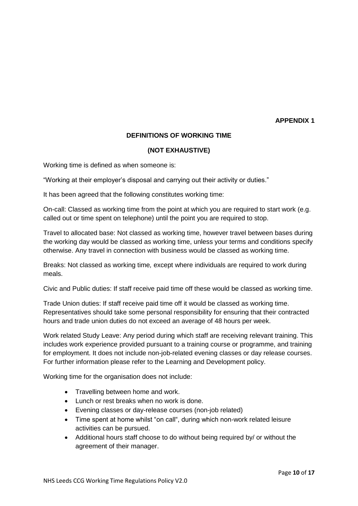#### **APPENDIX 1**

# **DEFINITIONS OF WORKING TIME**

# **(NOT EXHAUSTIVE)**

Working time is defined as when someone is:

"Working at their employer's disposal and carrying out their activity or duties."

It has been agreed that the following constitutes working time:

On-call: Classed as working time from the point at which you are required to start work (e.g. called out or time spent on telephone) until the point you are required to stop.

Travel to allocated base: Not classed as working time, however travel between bases during the working day would be classed as working time, unless your terms and conditions specify otherwise. Any travel in connection with business would be classed as working time.

Breaks: Not classed as working time*,* except where individuals are required to work during meals.

Civic and Public duties: If staff receive paid time off these would be classed as working time.

Trade Union duties: If staff receive paid time off it would be classed as working time. Representatives should take some personal responsibility for ensuring that their contracted hours and trade union duties do not exceed an average of 48 hours per week.

Work related Study Leave: Any period during which staff are receiving relevant training. This includes work experience provided pursuant to a training course or programme, and training for employment. It does not include non-job-related evening classes or day release courses. For further information please refer to the Learning and Development policy.

Working time for the organisation does not include:

- Travelling between home and work.
- Lunch or rest breaks when no work is done.
- Evening classes or day-release courses (non-job related)
- Time spent at home whilst "on call", during which non-work related leisure activities can be pursued.
- Additional hours staff choose to do without being required by/ or without the agreement of their manager.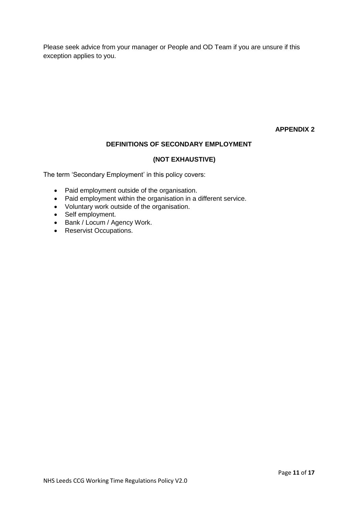Please seek advice from your manager or People and OD Team if you are unsure if this exception applies to you.

# **APPENDIX 2**

# **DEFINITIONS OF SECONDARY EMPLOYMENT**

# **(NOT EXHAUSTIVE)**

The term 'Secondary Employment' in this policy covers:

- Paid employment outside of the organisation.
- Paid employment within the organisation in a different service.
- Voluntary work outside of the organisation.
- Self employment.
- Bank / Locum / Agency Work.
- Reservist Occupations.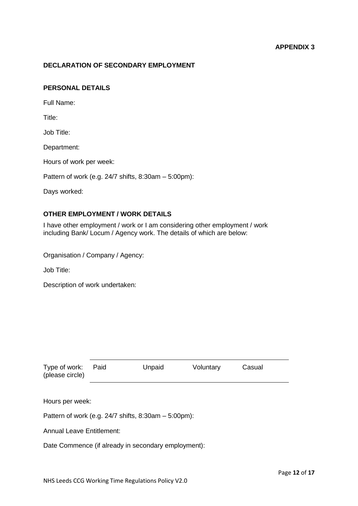### **APPENDIX 3**

#### **DECLARATION OF SECONDARY EMPLOYMENT**

#### **PERSONAL DETAILS**

Full Name:

Title:

Job Title:

Department:

Hours of work per week:

Pattern of work (e.g. 24/7 shifts, 8:30am – 5:00pm):

Days worked:

# **OTHER EMPLOYMENT / WORK DETAILS**

I have other employment / work or I am considering other employment / work including Bank/ Locum / Agency work. The details of which are below:

Organisation / Company / Agency:

Job Title:

Description of work undertaken:

| Type of work: Paid<br>(please circle) | Unpaid | Voluntary | Casual |
|---------------------------------------|--------|-----------|--------|
|                                       |        |           |        |

Hours per week:

Pattern of work (e.g. 24/7 shifts, 8:30am – 5:00pm):

Annual Leave Entitlement:

Date Commence (if already in secondary employment):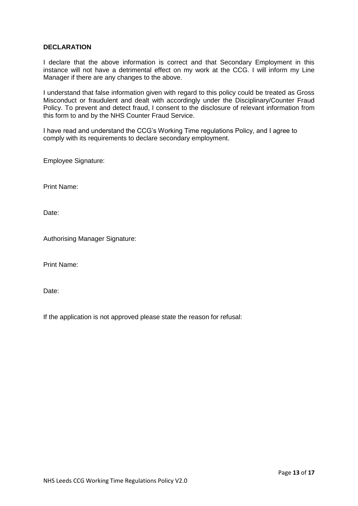### **DECLARATION**

I declare that the above information is correct and that Secondary Employment in this instance will not have a detrimental effect on my work at the CCG. I will inform my Line Manager if there are any changes to the above.

I understand that false information given with regard to this policy could be treated as Gross Misconduct or fraudulent and dealt with accordingly under the Disciplinary/Counter Fraud Policy. To prevent and detect fraud, I consent to the disclosure of relevant information from this form to and by the NHS Counter Fraud Service.

I have read and understand the CCG's Working Time regulations Policy, and I agree to comply with its requirements to declare secondary employment.

Employee Signature:

Print Name:

Date:

Authorising Manager Signature:

Print Name:

Date:

If the application is not approved please state the reason for refusal: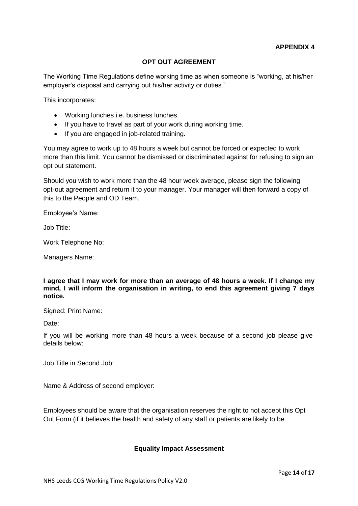# **OPT OUT AGREEMENT**

The Working Time Regulations define working time as when someone is "working, at his/her employer's disposal and carrying out his/her activity or duties."

This incorporates:

- Working lunches i.e. business lunches.
- If you have to travel as part of your work during working time.
- If you are engaged in job-related training.

You may agree to work up to 48 hours a week but cannot be forced or expected to work more than this limit. You cannot be dismissed or discriminated against for refusing to sign an opt out statement.

Should you wish to work more than the 48 hour week average, please sign the following opt-out agreement and return it to your manager. Your manager will then forward a copy of this to the People and OD Team.

Employee's Name:

Job Title:

Work Telephone No:

Managers Name:

**I agree that I may work for more than an average of 48 hours a week. If I change my mind, I will inform the organisation in writing, to end this agreement giving 7 days notice.** 

Signed: Print Name:

Date:

If you will be working more than 48 hours a week because of a second job please give details below:

Job Title in Second Job:

Name & Address of second employer:

Employees should be aware that the organisation reserves the right to not accept this Opt Out Form (if it believes the health and safety of any staff or patients are likely to be

# **Equality Impact Assessment**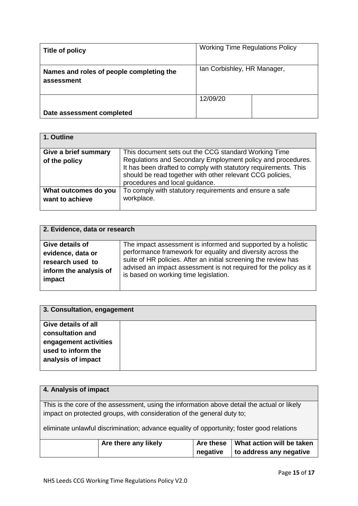| Title of policy                                        | <b>Working Time Regulations Policy</b> |  |  |
|--------------------------------------------------------|----------------------------------------|--|--|
| Names and roles of people completing the<br>assessment | Ian Corbishley, HR Manager,            |  |  |
|                                                        | 12/09/20                               |  |  |
| Date assessment completed                              |                                        |  |  |

| 1. Outline           |                                                                                                                                                                                                                               |
|----------------------|-------------------------------------------------------------------------------------------------------------------------------------------------------------------------------------------------------------------------------|
| Give a brief summary | This document sets out the CCG standard Working Time                                                                                                                                                                          |
| of the policy        | Regulations and Secondary Employment policy and procedures.<br>It has been drafted to comply with statutory requirements. This<br>should be read together with other relevant CCG policies,<br>procedures and local guidance. |
| What outcomes do you | To comply with statutory requirements and ensure a safe                                                                                                                                                                       |
| want to achieve      | workplace.                                                                                                                                                                                                                    |

| 2. Evidence, data or research                                                                |                                                                                                                                                                                                                                                                                                               |  |  |  |
|----------------------------------------------------------------------------------------------|---------------------------------------------------------------------------------------------------------------------------------------------------------------------------------------------------------------------------------------------------------------------------------------------------------------|--|--|--|
| Give details of<br>evidence, data or<br>research used to<br>inform the analysis of<br>impact | The impact assessment is informed and supported by a holistic<br>performance framework for equality and diversity across the<br>suite of HR policies. After an initial screening the review has<br>advised an impact assessment is not required for the policy as it<br>is based on working time legislation. |  |  |  |
|                                                                                              |                                                                                                                                                                                                                                                                                                               |  |  |  |

| 3. Consultation, engagement |  |
|-----------------------------|--|
| <b>Give details of all</b>  |  |
| consultation and            |  |
| engagement activities       |  |
| used to inform the          |  |
| analysis of impact          |  |
|                             |  |

| 4. Analysis of impact                                                 |                                                                                             |          |                         |  |  |  |
|-----------------------------------------------------------------------|---------------------------------------------------------------------------------------------|----------|-------------------------|--|--|--|
|                                                                       |                                                                                             |          |                         |  |  |  |
|                                                                       | This is the core of the assessment, using the information above detail the actual or likely |          |                         |  |  |  |
|                                                                       |                                                                                             |          |                         |  |  |  |
|                                                                       | impact on protected groups, with consideration of the general duty to;                      |          |                         |  |  |  |
|                                                                       |                                                                                             |          |                         |  |  |  |
|                                                                       | eliminate unlawful discrimination; advance equality of opportunity; foster good relations   |          |                         |  |  |  |
|                                                                       |                                                                                             |          |                         |  |  |  |
| What action will be taken<br><b>Are these</b><br>Are there any likely |                                                                                             |          |                         |  |  |  |
|                                                                       |                                                                                             |          |                         |  |  |  |
|                                                                       |                                                                                             | negative | to address any negative |  |  |  |
|                                                                       |                                                                                             |          |                         |  |  |  |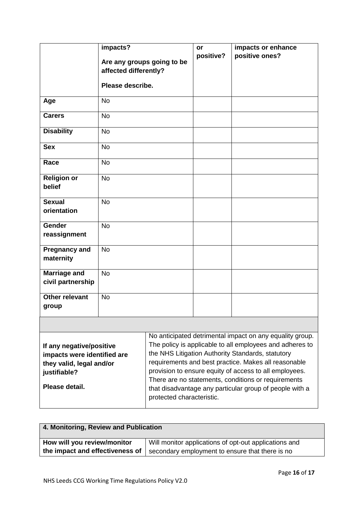|                                                                                                                       | impacts?<br>Are any groups going to be<br>affected differently?<br>Please describe. |                           | or<br>positive? | impacts or enhance<br>positive ones?                                                                                                                                                                                                                                                                                                                                                                          |
|-----------------------------------------------------------------------------------------------------------------------|-------------------------------------------------------------------------------------|---------------------------|-----------------|---------------------------------------------------------------------------------------------------------------------------------------------------------------------------------------------------------------------------------------------------------------------------------------------------------------------------------------------------------------------------------------------------------------|
| Age                                                                                                                   | <b>No</b>                                                                           |                           |                 |                                                                                                                                                                                                                                                                                                                                                                                                               |
| <b>Carers</b>                                                                                                         | <b>No</b>                                                                           |                           |                 |                                                                                                                                                                                                                                                                                                                                                                                                               |
| <b>Disability</b>                                                                                                     | <b>No</b>                                                                           |                           |                 |                                                                                                                                                                                                                                                                                                                                                                                                               |
| <b>Sex</b>                                                                                                            | <b>No</b>                                                                           |                           |                 |                                                                                                                                                                                                                                                                                                                                                                                                               |
| Race                                                                                                                  | <b>No</b>                                                                           |                           |                 |                                                                                                                                                                                                                                                                                                                                                                                                               |
| <b>Religion or</b><br>belief                                                                                          | <b>No</b>                                                                           |                           |                 |                                                                                                                                                                                                                                                                                                                                                                                                               |
| <b>Sexual</b><br>orientation                                                                                          | <b>No</b>                                                                           |                           |                 |                                                                                                                                                                                                                                                                                                                                                                                                               |
| <b>Gender</b><br>reassignment                                                                                         | <b>No</b>                                                                           |                           |                 |                                                                                                                                                                                                                                                                                                                                                                                                               |
| <b>Pregnancy and</b><br>maternity                                                                                     | <b>No</b>                                                                           |                           |                 |                                                                                                                                                                                                                                                                                                                                                                                                               |
| <b>Marriage and</b><br>civil partnership                                                                              | <b>No</b>                                                                           |                           |                 |                                                                                                                                                                                                                                                                                                                                                                                                               |
| <b>Other relevant</b><br>group                                                                                        | <b>No</b>                                                                           |                           |                 |                                                                                                                                                                                                                                                                                                                                                                                                               |
|                                                                                                                       |                                                                                     |                           |                 |                                                                                                                                                                                                                                                                                                                                                                                                               |
| If any negative/positive<br>impacts were identified are<br>they valid, legal and/or<br>justifiable?<br>Please detail. |                                                                                     | protected characteristic. |                 | No anticipated detrimental impact on any equality group.<br>The policy is applicable to all employees and adheres to<br>the NHS Litigation Authority Standards, statutory<br>requirements and best practice. Makes all reasonable<br>provision to ensure equity of access to all employees.<br>There are no statements, conditions or requirements<br>that disadvantage any particular group of people with a |

| 4. Monitoring, Review and Publication                                                |  |  |  |  |
|--------------------------------------------------------------------------------------|--|--|--|--|
| How will you review/monitor<br>Will monitor applications of opt-out applications and |  |  |  |  |
| the impact and effectiveness of<br>secondary employment to ensure that there is no   |  |  |  |  |